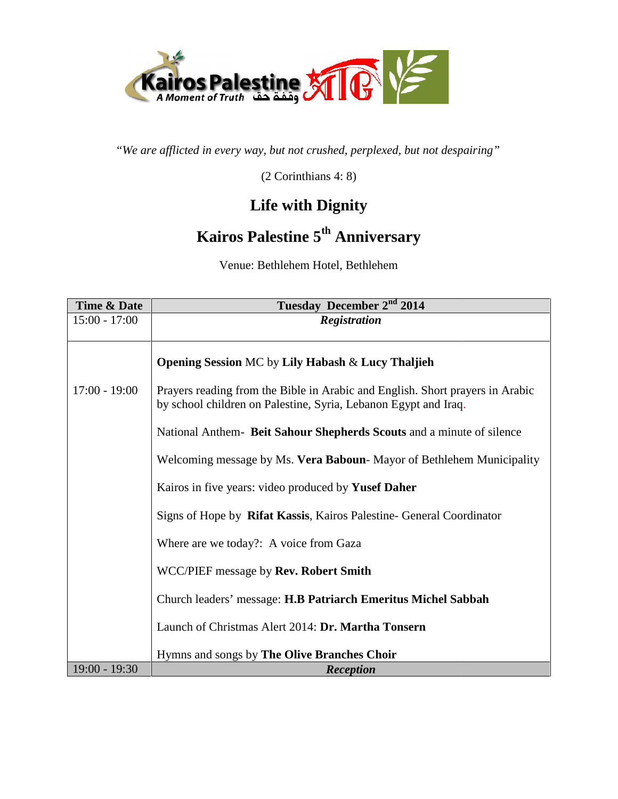

(2 Corinthians 4: 8)

#### **Life with Dignity**

# **Kairos Palestine 5th Anniversary th**

| Time & Date     | Tuesday December 2 <sup>nd</sup> 2014                                                                                                            |
|-----------------|--------------------------------------------------------------------------------------------------------------------------------------------------|
| $15:00 - 17:00$ | <b>Registration</b>                                                                                                                              |
|                 |                                                                                                                                                  |
|                 | <b>Opening Session MC by Lily Habash &amp; Lucy Thaljieh</b>                                                                                     |
| $17:00 - 19:00$ | Prayers reading from the Bible in Arabic and English. Short prayers in Arabic<br>by school children on Palestine, Syria, Lebanon Egypt and Iraq. |
|                 | National Anthem- Beit Sahour Shepherds Scouts and a minute of silence                                                                            |
|                 | Welcoming message by Ms. Vera Baboun-Mayor of Bethlehem Municipality                                                                             |
|                 | Kairos in five years: video produced by Yusef Daher                                                                                              |
|                 | Signs of Hope by Rifat Kassis, Kairos Palestine- General Coordinator                                                                             |
|                 | Where are we today?: A voice from Gaza                                                                                                           |
|                 | WCC/PIEF message by Rev. Robert Smith                                                                                                            |
|                 | Church leaders' message: H.B Patriarch Emeritus Michel Sabbah                                                                                    |
|                 | Launch of Christmas Alert 2014: Dr. Martha Tonsern                                                                                               |
|                 | Hymns and songs by The Olive Branches Choir                                                                                                      |
| $19:00 - 19:30$ | <b>Reception</b>                                                                                                                                 |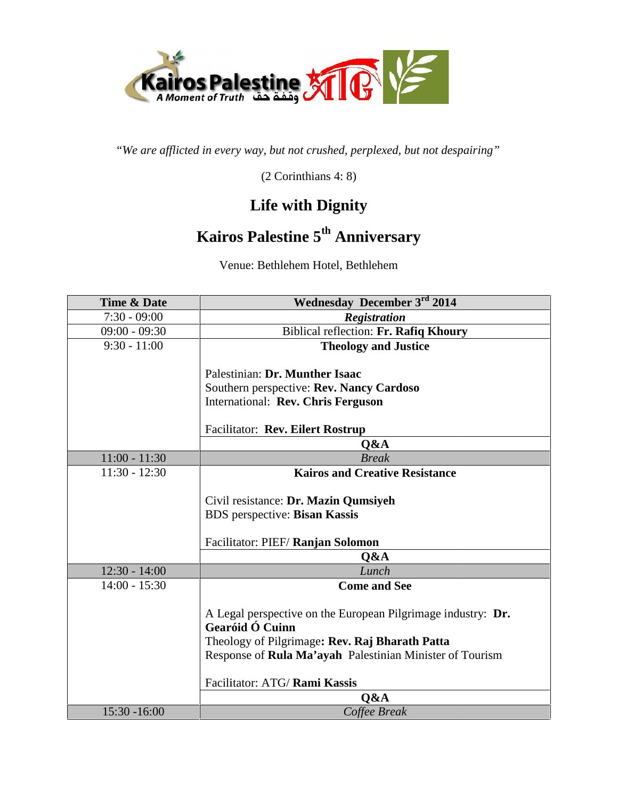

(2 Corinthians 4: 8)

#### **Life with Dignity**

#### **Kairos Palestine 5th Anniversary th**

| Time & Date     | Wednesday December 3rd 2014                                  |
|-----------------|--------------------------------------------------------------|
| $7:30 - 09:00$  | <b>Registration</b>                                          |
| $09:00 - 09:30$ | Biblical reflection: Fr. Rafiq Khoury                        |
| $9:30 - 11:00$  | <b>Theology and Justice</b>                                  |
|                 |                                                              |
|                 | Palestinian: Dr. Munther Isaac                               |
|                 | Southern perspective: Rev. Nancy Cardoso                     |
|                 | International: Rev. Chris Ferguson                           |
|                 | <b>Facilitator: Rev. Eilert Rostrup</b>                      |
|                 | Q&A                                                          |
| $11:00 - 11:30$ | <b>Break</b>                                                 |
| $11:30 - 12:30$ | <b>Kairos and Creative Resistance</b>                        |
|                 |                                                              |
|                 | Civil resistance: Dr. Mazin Qumsiyeh                         |
|                 | BDS perspective: Bisan Kassis                                |
|                 |                                                              |
|                 | Facilitator: PIEF/ Ranjan Solomon                            |
|                 | Q&A                                                          |
| $12:30 - 14:00$ | Lunch                                                        |
| $14:00 - 15:30$ | <b>Come and See</b>                                          |
|                 | A Legal perspective on the European Pilgrimage industry: Dr. |
|                 | Gearóid Ó Cuinn                                              |
|                 | Theology of Pilgrimage: Rev. Raj Bharath Patta               |
|                 | Response of Rula Ma'ayah Palestinian Minister of Tourism     |
|                 |                                                              |
|                 | Facilitator: ATG/ Rami Kassis                                |
|                 | Q&A                                                          |
| 15:30 -16:00    | Coffee Break                                                 |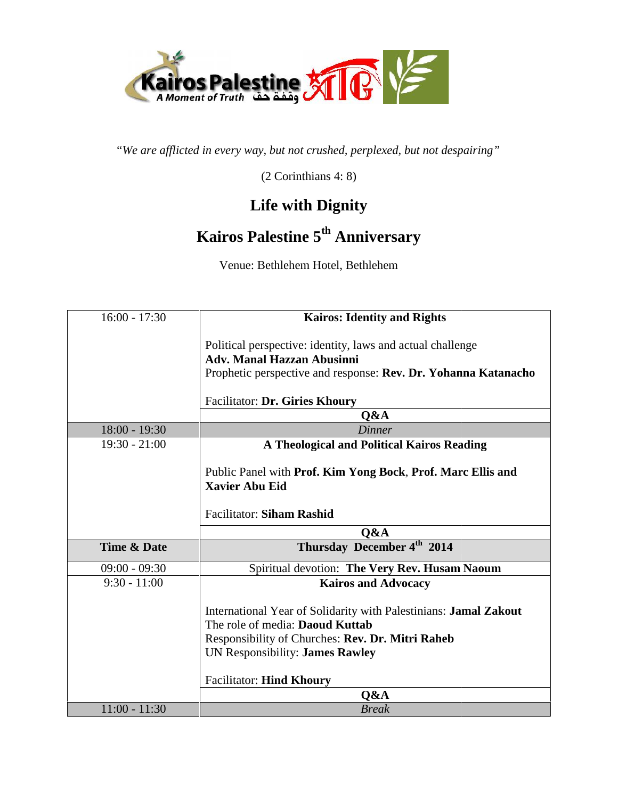

(2 Corinthians 4: 8)

# **Life with Dignity**

# **Kairos Palestine 5th Anniversary th**

| $16:00 - 17:30$        | <b>Kairos: Identity and Rights</b>                               |
|------------------------|------------------------------------------------------------------|
|                        | Political perspective: identity, laws and actual challenge       |
|                        | <b>Adv. Manal Hazzan Abusinni</b>                                |
|                        | Prophetic perspective and response: Rev. Dr. Yohanna Katanacho   |
|                        | <b>Facilitator: Dr. Giries Khoury</b>                            |
|                        | Q&A                                                              |
| $18:00 - 19:30$        | Dinner                                                           |
| $19:30 - 21:00$        | <b>A Theological and Political Kairos Reading</b>                |
|                        |                                                                  |
|                        | Public Panel with Prof. Kim Yong Bock, Prof. Marc Ellis and      |
|                        | <b>Xavier Abu Eid</b>                                            |
|                        | <b>Facilitator: Siham Rashid</b>                                 |
|                        | Q&A                                                              |
| <b>Time &amp; Date</b> | Thursday December 4 <sup>th</sup> 2014                           |
| $09:00 - 09:30$        | Spiritual devotion: The Very Rev. Husam Naoum                    |
| $9:30 - 11:00$         | <b>Kairos and Advocacy</b>                                       |
|                        | International Year of Solidarity with Palestinians: Jamal Zakout |
|                        | The role of media: Daoud Kuttab                                  |
|                        | Responsibility of Churches: Rev. Dr. Mitri Raheb                 |
|                        | UN Responsibility: James Rawley                                  |
|                        | <b>Facilitator: Hind Khoury</b>                                  |
|                        | O&A                                                              |
| $11:00 - 11:30$        | <b>Break</b>                                                     |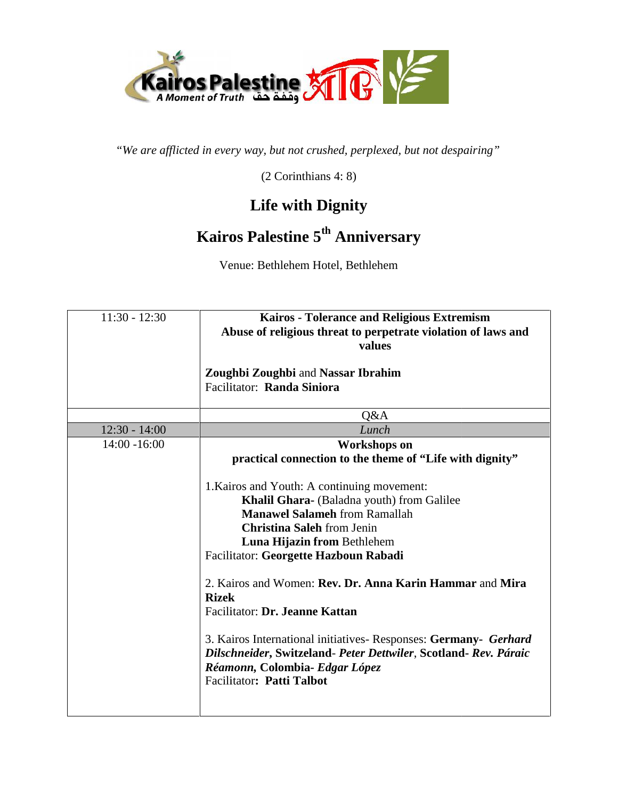

(2 Corinthians 4: 8)

# **Life with Dignity**

# **Kairos Palestine 5th Anniversary th**

| $11:30 - 12:30$ | Kairos - Tolerance and Religious Extremism<br>Abuse of religious threat to perpetrate violation of laws and<br>values                                                                                                                                                                                               |
|-----------------|---------------------------------------------------------------------------------------------------------------------------------------------------------------------------------------------------------------------------------------------------------------------------------------------------------------------|
|                 | <b>Zoughbi Zoughbi and Nassar Ibrahim</b><br>Facilitator: Randa Siniora                                                                                                                                                                                                                                             |
|                 | Q&A                                                                                                                                                                                                                                                                                                                 |
| $12:30 - 14:00$ | Lunch                                                                                                                                                                                                                                                                                                               |
| $14:00 - 16:00$ | <b>Workshops</b> on<br>practical connection to the theme of "Life with dignity"                                                                                                                                                                                                                                     |
|                 | 1. Kairos and Youth: A continuing movement:<br>Khalil Ghara- (Baladna youth) from Galilee<br><b>Manawel Salameh from Ramallah</b><br><b>Christina Saleh from Jenin</b><br>Luna Hijazin from Bethlehem<br>Facilitator: Georgette Hazboun Rabadi                                                                      |
|                 | 2. Kairos and Women: Rev. Dr. Anna Karin Hammar and Mira<br><b>Rizek</b><br>Facilitator: Dr. Jeanne Kattan<br>3. Kairos International initiatives - Responses: Germany - Gerhard<br>Dilschneider, Switzeland- Peter Dettwiler, Scotland- Rev. Páraic<br>Réamonn, Colombia- Edgar López<br>Facilitator: Patti Talbot |